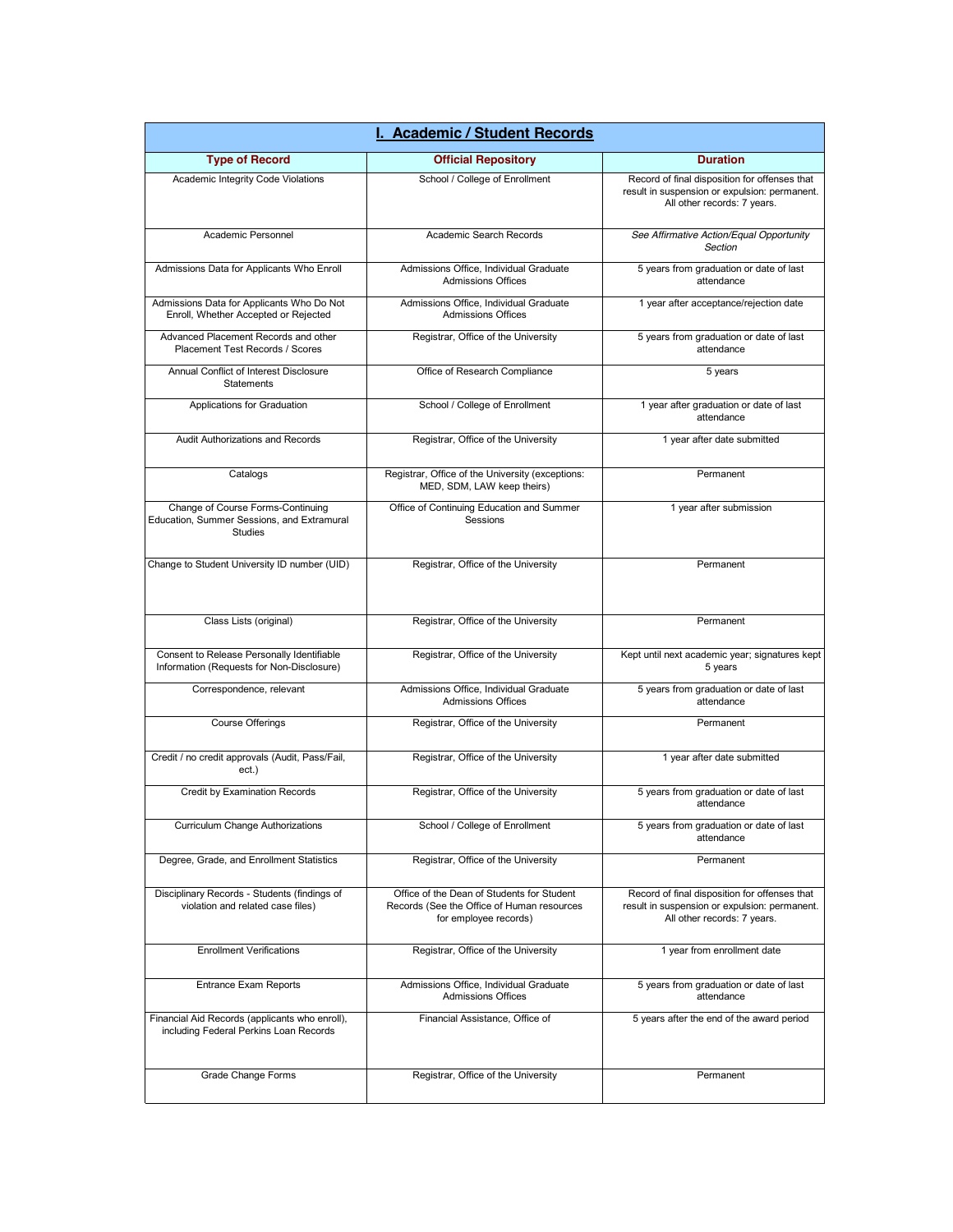| I. Academic / Student Records                                                                     |                                                                                                                   |                                                                                                                               |
|---------------------------------------------------------------------------------------------------|-------------------------------------------------------------------------------------------------------------------|-------------------------------------------------------------------------------------------------------------------------------|
| <b>Type of Record</b>                                                                             | <b>Official Repository</b>                                                                                        | <b>Duration</b>                                                                                                               |
| Academic Integrity Code Violations                                                                | School / College of Enrollment                                                                                    | Record of final disposition for offenses that<br>result in suspension or expulsion: permanent.<br>All other records: 7 years. |
| Academic Personnel                                                                                | Academic Search Records                                                                                           | See Affirmative Action/Equal Opportunity<br>Section                                                                           |
| Admissions Data for Applicants Who Enroll                                                         | Admissions Office, Individual Graduate<br><b>Admissions Offices</b>                                               | 5 years from graduation or date of last<br>attendance                                                                         |
| Admissions Data for Applicants Who Do Not<br>Enroll, Whether Accepted or Rejected                 | Admissions Office, Individual Graduate<br><b>Admissions Offices</b>                                               | 1 year after acceptance/rejection date                                                                                        |
| Advanced Placement Records and other<br>Placement Test Records / Scores                           | Registrar, Office of the University                                                                               | 5 years from graduation or date of last<br>attendance                                                                         |
| Annual Conflict of Interest Disclosure<br>Statements                                              | Office of Research Compliance                                                                                     | 5 years                                                                                                                       |
| Applications for Graduation                                                                       | School / College of Enrollment                                                                                    | 1 year after graduation or date of last<br>attendance                                                                         |
| Audit Authorizations and Records                                                                  | Registrar, Office of the University                                                                               | 1 year after date submitted                                                                                                   |
| Catalogs                                                                                          | Registrar, Office of the University (exceptions:<br>MED, SDM, LAW keep theirs)                                    | Permanent                                                                                                                     |
| Change of Course Forms-Continuing<br>Education, Summer Sessions, and Extramural<br><b>Studies</b> | Office of Continuing Education and Summer<br>Sessions                                                             | 1 year after submission                                                                                                       |
| Change to Student University ID number (UID)                                                      | Registrar, Office of the University                                                                               | Permanent                                                                                                                     |
| Class Lists (original)                                                                            | Registrar, Office of the University                                                                               | Permanent                                                                                                                     |
| Consent to Release Personally Identifiable<br>Information (Requests for Non-Disclosure)           | Registrar, Office of the University                                                                               | Kept until next academic year; signatures kept<br>5 years                                                                     |
| Correspondence, relevant                                                                          | Admissions Office, Individual Graduate<br><b>Admissions Offices</b>                                               | 5 years from graduation or date of last<br>attendance                                                                         |
| Course Offerings                                                                                  | Registrar, Office of the University                                                                               | Permanent                                                                                                                     |
| Credit / no credit approvals (Audit, Pass/Fail,<br>ect.)                                          | Registrar, Office of the University                                                                               | 1 year after date submitted                                                                                                   |
| Credit by Examination Records                                                                     | Registrar, Office of the University                                                                               | 5 years from graduation or date of last<br>attendance                                                                         |
| <b>Curriculum Change Authorizations</b>                                                           | School / College of Enrollment                                                                                    | 5 years from graduation or date of last<br>attendance                                                                         |
| Degree, Grade, and Enrollment Statistics                                                          | Registrar, Office of the University                                                                               | Permanent                                                                                                                     |
| Disciplinary Records - Students (findings of<br>violation and related case files)                 | Office of the Dean of Students for Student<br>Records (See the Office of Human resources<br>for employee records) | Record of final disposition for offenses that<br>result in suspension or expulsion: permanent.<br>All other records: 7 years. |
| <b>Enrollment Verifications</b>                                                                   | Registrar, Office of the University                                                                               | 1 year from enrollment date                                                                                                   |
| Entrance Exam Reports                                                                             | Admissions Office, Individual Graduate<br><b>Admissions Offices</b>                                               | 5 years from graduation or date of last<br>attendance                                                                         |
| Financial Aid Records (applicants who enroll),<br>including Federal Perkins Loan Records          | Financial Assistance, Office of                                                                                   | 5 years after the end of the award period                                                                                     |
| Grade Change Forms                                                                                | Registrar, Office of the University                                                                               | Permanent                                                                                                                     |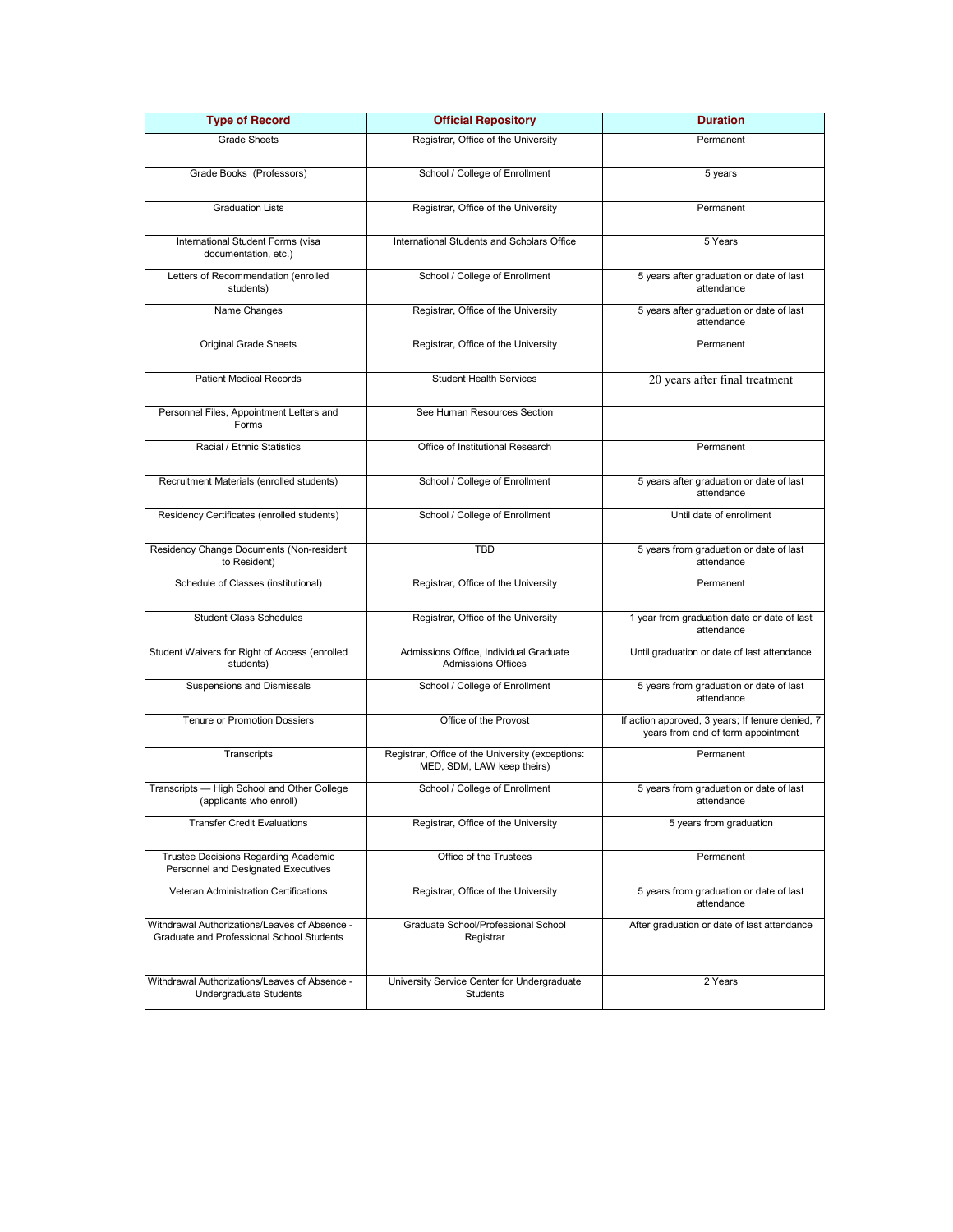| <b>Type of Record</b>                                                                      | <b>Official Repository</b>                                                     | <b>Duration</b>                                                                        |
|--------------------------------------------------------------------------------------------|--------------------------------------------------------------------------------|----------------------------------------------------------------------------------------|
| <b>Grade Sheets</b>                                                                        | Registrar, Office of the University                                            | Permanent                                                                              |
| Grade Books (Professors)                                                                   | School / College of Enrollment                                                 | 5 years                                                                                |
| <b>Graduation Lists</b>                                                                    | Registrar, Office of the University                                            | Permanent                                                                              |
| International Student Forms (visa<br>documentation, etc.)                                  | International Students and Scholars Office                                     | 5 Years                                                                                |
| Letters of Recommendation (enrolled<br>students)                                           | School / College of Enrollment                                                 | 5 years after graduation or date of last<br>attendance                                 |
| Name Changes                                                                               | Registrar, Office of the University                                            | 5 years after graduation or date of last<br>attendance                                 |
| Original Grade Sheets                                                                      | Registrar, Office of the University                                            | Permanent                                                                              |
| <b>Patient Medical Records</b>                                                             | <b>Student Health Services</b>                                                 | 20 years after final treatment                                                         |
| Personnel Files, Appointment Letters and<br>Forms                                          | See Human Resources Section                                                    |                                                                                        |
| Racial / Ethnic Statistics                                                                 | Office of Institutional Research                                               | Permanent                                                                              |
| Recruitment Materials (enrolled students)                                                  | School / College of Enrollment                                                 | 5 years after graduation or date of last<br>attendance                                 |
| Residency Certificates (enrolled students)                                                 | School / College of Enrollment                                                 | Until date of enrollment                                                               |
| Residency Change Documents (Non-resident<br>to Resident)                                   | <b>TBD</b>                                                                     | 5 years from graduation or date of last<br>attendance                                  |
| Schedule of Classes (institutional)                                                        | Registrar, Office of the University                                            | Permanent                                                                              |
| <b>Student Class Schedules</b>                                                             | Registrar, Office of the University                                            | 1 year from graduation date or date of last<br>attendance                              |
| Student Waivers for Right of Access (enrolled<br>students)                                 | Admissions Office, Individual Graduate<br><b>Admissions Offices</b>            | Until graduation or date of last attendance                                            |
| Suspensions and Dismissals                                                                 | School / College of Enrollment                                                 | 5 years from graduation or date of last<br>attendance                                  |
| <b>Tenure or Promotion Dossiers</b>                                                        | Office of the Provost                                                          | If action approved, 3 years; If tenure denied, 7<br>years from end of term appointment |
| Transcripts                                                                                | Registrar, Office of the University (exceptions:<br>MED, SDM, LAW keep theirs) | Permanent                                                                              |
| Transcripts - High School and Other College<br>(applicants who enroll)                     | School / College of Enrollment                                                 | 5 years from graduation or date of last<br>attendance                                  |
| <b>Transfer Credit Evaluations</b>                                                         | Registrar, Office of the University                                            | 5 years from graduation                                                                |
| Trustee Decisions Regarding Academic<br>Personnel and Designated Executives                | Office of the Trustees                                                         | Permanent                                                                              |
| <b>Veteran Administration Certifications</b>                                               | Registrar, Office of the University                                            | 5 years from graduation or date of last<br>attendance                                  |
| Withdrawal Authorizations/Leaves of Absence -<br>Graduate and Professional School Students | Graduate School/Professional School<br>Registrar                               | After graduation or date of last attendance                                            |
| Withdrawal Authorizations/Leaves of Absence -<br><b>Undergraduate Students</b>             | University Service Center for Undergraduate<br><b>Students</b>                 | 2 Years                                                                                |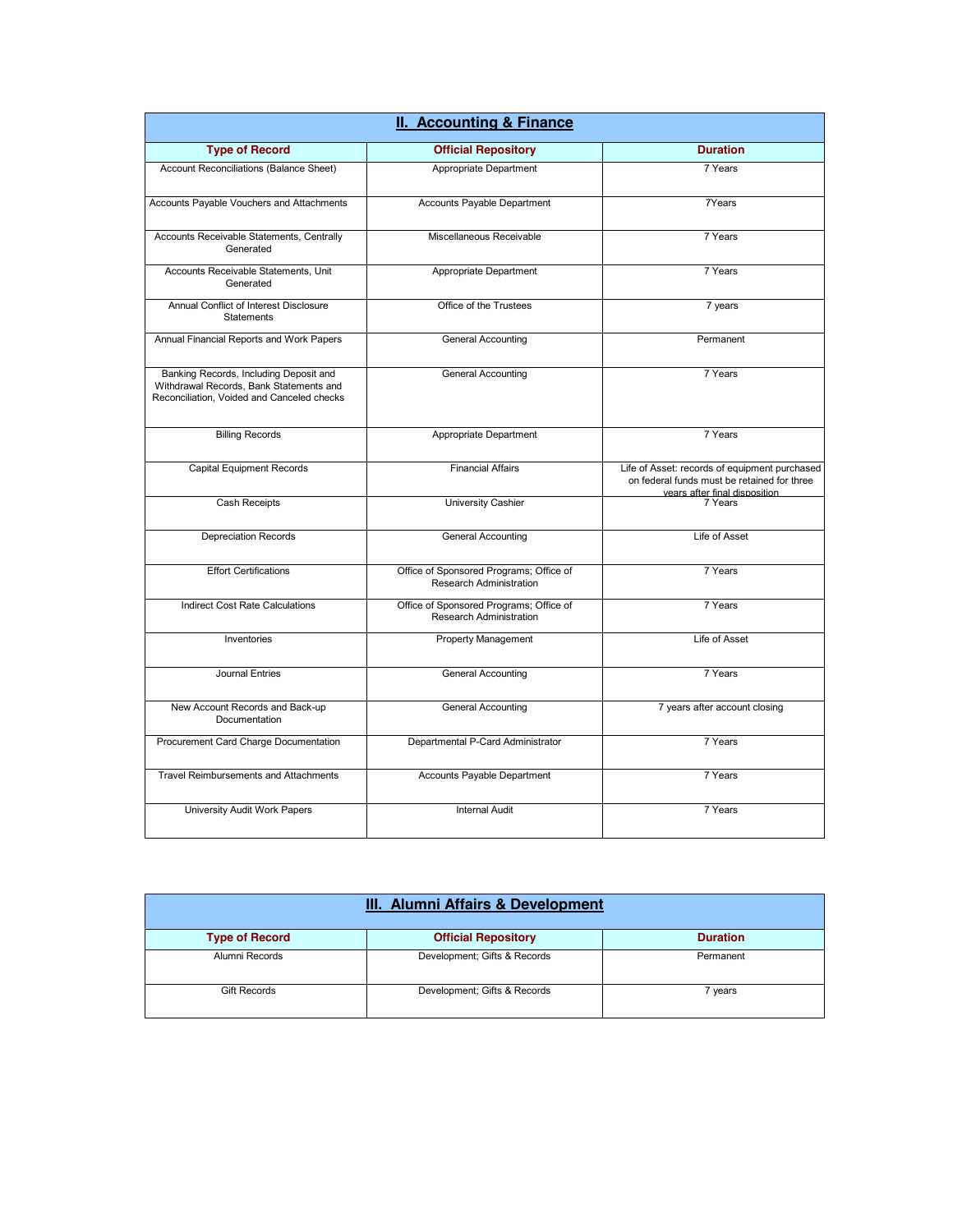| II. Accounting & Finance                                                                                                        |                                                                    |                                                                                                                               |
|---------------------------------------------------------------------------------------------------------------------------------|--------------------------------------------------------------------|-------------------------------------------------------------------------------------------------------------------------------|
| <b>Type of Record</b>                                                                                                           | <b>Official Repository</b>                                         | <b>Duration</b>                                                                                                               |
| Account Reconciliations (Balance Sheet)                                                                                         | Appropriate Department                                             | 7 Years                                                                                                                       |
| Accounts Payable Vouchers and Attachments                                                                                       | Accounts Payable Department                                        | 7Years                                                                                                                        |
| Accounts Receivable Statements, Centrally<br>Generated                                                                          | Miscellaneous Receivable                                           | 7 Years                                                                                                                       |
| Accounts Receivable Statements, Unit<br>Generated                                                                               | Appropriate Department                                             | 7 Years                                                                                                                       |
| Annual Conflict of Interest Disclosure<br><b>Statements</b>                                                                     | Office of the Trustees                                             | 7 years                                                                                                                       |
| Annual Financial Reports and Work Papers                                                                                        | <b>General Accounting</b>                                          | Permanent                                                                                                                     |
| Banking Records, Including Deposit and<br>Withdrawal Records, Bank Statements and<br>Reconciliation, Voided and Canceled checks | <b>General Accounting</b>                                          | 7 Years                                                                                                                       |
| <b>Billing Records</b>                                                                                                          | Appropriate Department                                             | 7 Years                                                                                                                       |
| <b>Capital Equipment Records</b>                                                                                                | <b>Financial Affairs</b>                                           | Life of Asset: records of equipment purchased<br>on federal funds must be retained for three<br>vears after final disposition |
| Cash Receipts                                                                                                                   | University Cashier                                                 | 7 Years                                                                                                                       |
| <b>Depreciation Records</b>                                                                                                     | <b>General Accounting</b>                                          | Life of Asset                                                                                                                 |
| <b>Effort Certifications</b>                                                                                                    | Office of Sponsored Programs; Office of<br>Research Administration | 7 Years                                                                                                                       |
| <b>Indirect Cost Rate Calculations</b>                                                                                          | Office of Sponsored Programs; Office of<br>Research Administration | 7 Years                                                                                                                       |
| Inventories                                                                                                                     | <b>Property Management</b>                                         | Life of Asset                                                                                                                 |
| Journal Entries                                                                                                                 | <b>General Accounting</b>                                          | 7 Years                                                                                                                       |
| New Account Records and Back-up<br>Documentation                                                                                | <b>General Accounting</b>                                          | 7 years after account closing                                                                                                 |
| Procurement Card Charge Documentation                                                                                           | Departmental P-Card Administrator                                  | 7 Years                                                                                                                       |
| <b>Travel Reimbursements and Attachments</b>                                                                                    | Accounts Payable Department                                        | 7 Years                                                                                                                       |
| University Audit Work Papers                                                                                                    | <b>Internal Audit</b>                                              | 7 Years                                                                                                                       |

| <b>III. Alumni Affairs &amp; Development</b> |                              |                 |
|----------------------------------------------|------------------------------|-----------------|
| <b>Type of Record</b>                        | <b>Official Repository</b>   | <b>Duration</b> |
| Alumni Records                               | Development; Gifts & Records | Permanent       |
| <b>Gift Records</b>                          | Development; Gifts & Records | 7 years         |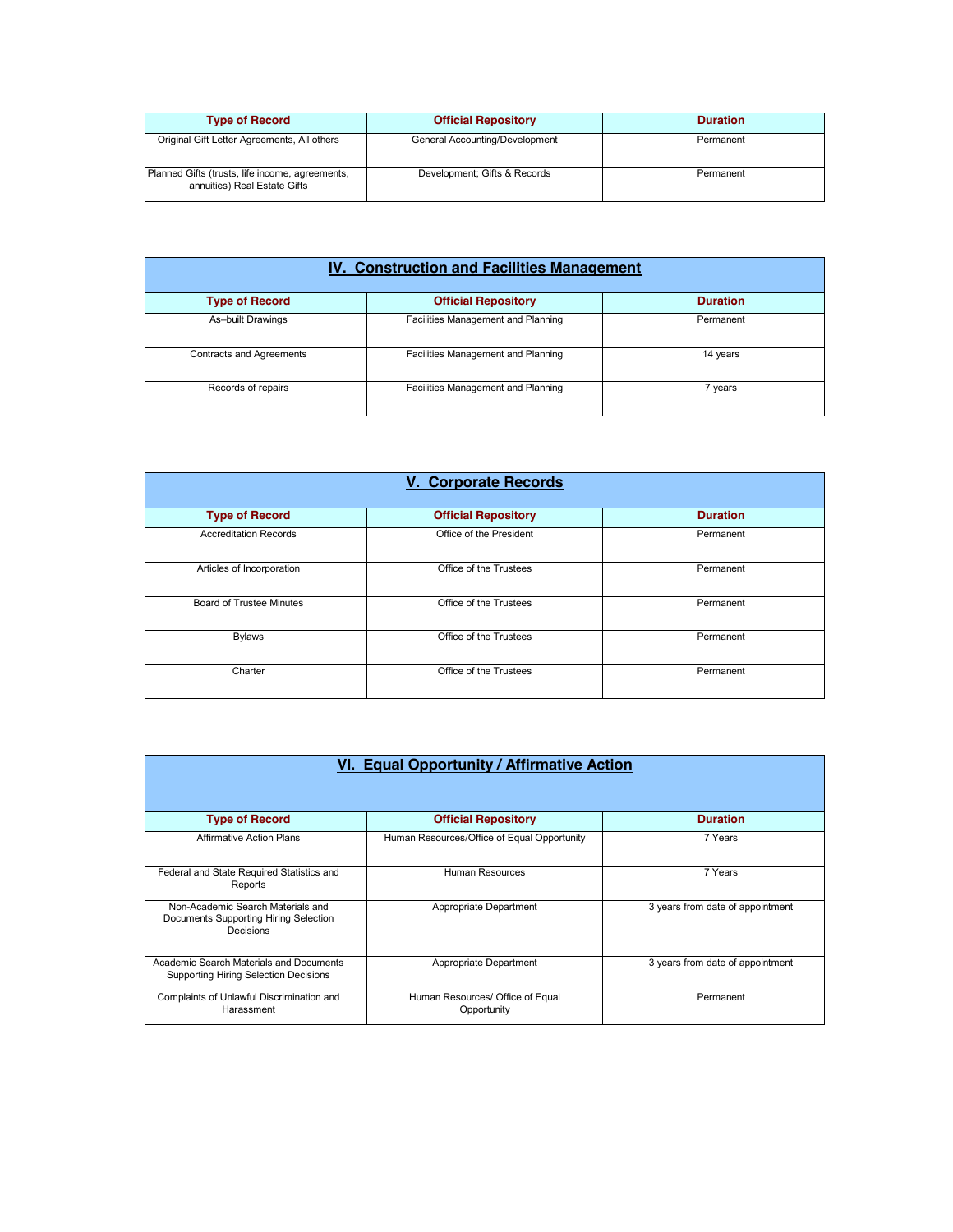| <b>Type of Record</b>                                                           | <b>Official Repository</b>     | <b>Duration</b> |
|---------------------------------------------------------------------------------|--------------------------------|-----------------|
| Original Gift Letter Agreements, All others                                     | General Accounting/Development | Permanent       |
| Planned Gifts (trusts, life income, agreements,<br>annuities) Real Estate Gifts | Development; Gifts & Records   | Permanent       |

| <b>IV. Construction and Facilities Management</b> |                                    |                 |
|---------------------------------------------------|------------------------------------|-----------------|
| <b>Type of Record</b>                             | <b>Official Repository</b>         | <b>Duration</b> |
| As-built Drawings                                 | Facilities Management and Planning | Permanent       |
| <b>Contracts and Agreements</b>                   | Facilities Management and Planning | 14 years        |
| Records of repairs                                | Facilities Management and Planning | 7 years         |

| <b>V. Corporate Records</b>     |                            |                 |
|---------------------------------|----------------------------|-----------------|
| <b>Type of Record</b>           | <b>Official Repository</b> | <b>Duration</b> |
| <b>Accreditation Records</b>    | Office of the President    | Permanent       |
| Articles of Incorporation       | Office of the Trustees     | Permanent       |
| <b>Board of Trustee Minutes</b> | Office of the Trustees     | Permanent       |
| <b>Bylaws</b>                   | Office of the Trustees     | Permanent       |
| Charter                         | Office of the Trustees     | Permanent       |

| <b>VI. Equal Opportunity / Affirmative Action</b>                                       |                                                 |                                  |
|-----------------------------------------------------------------------------------------|-------------------------------------------------|----------------------------------|
| <b>Type of Record</b>                                                                   | <b>Official Repository</b>                      | <b>Duration</b>                  |
| <b>Affirmative Action Plans</b>                                                         | Human Resources/Office of Equal Opportunity     | 7 Years                          |
| Federal and State Required Statistics and<br>Reports                                    | Human Resources                                 | 7 Years                          |
| Non-Academic Search Materials and<br>Documents Supporting Hiring Selection<br>Decisions | Appropriate Department                          | 3 years from date of appointment |
| Academic Search Materials and Documents<br>Supporting Hiring Selection Decisions        | Appropriate Department                          | 3 years from date of appointment |
| Complaints of Unlawful Discrimination and<br>Harassment                                 | Human Resources/ Office of Equal<br>Opportunity | Permanent                        |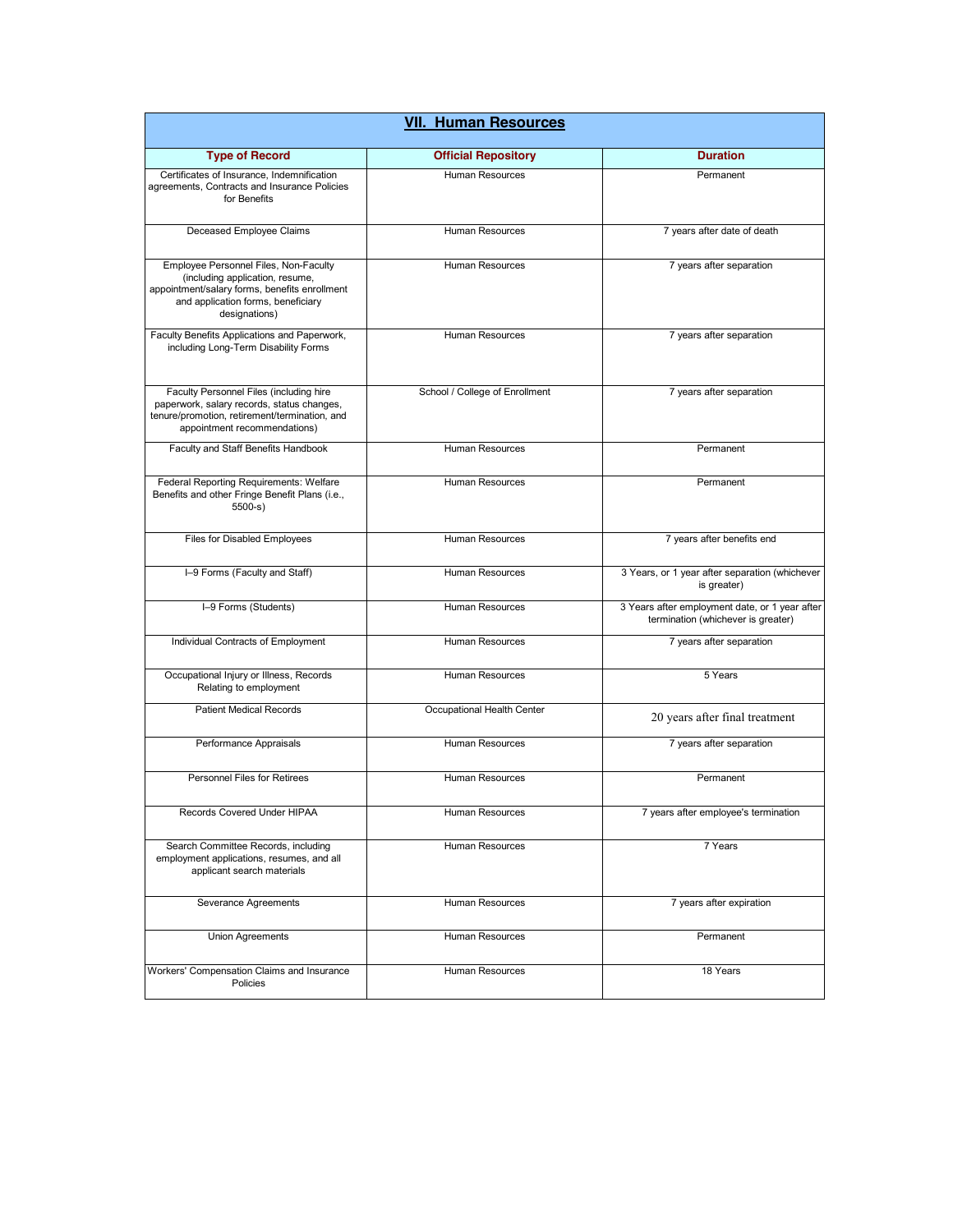| <b>VII. Human Resources</b>                                                                                                                                                      |                                |                                                                                      |
|----------------------------------------------------------------------------------------------------------------------------------------------------------------------------------|--------------------------------|--------------------------------------------------------------------------------------|
| <b>Type of Record</b>                                                                                                                                                            | <b>Official Repository</b>     | <b>Duration</b>                                                                      |
| Certificates of Insurance, Indemnification<br>agreements, Contracts and Insurance Policies<br>for Benefits                                                                       | Human Resources                | Permanent                                                                            |
| Deceased Employee Claims                                                                                                                                                         | Human Resources                | 7 years after date of death                                                          |
| Employee Personnel Files, Non-Faculty<br>(including application, resume,<br>appointment/salary forms, benefits enrollment<br>and application forms, beneficiary<br>designations) | <b>Human Resources</b>         | 7 years after separation                                                             |
| Faculty Benefits Applications and Paperwork,<br>including Long-Term Disability Forms                                                                                             | Human Resources                | 7 years after separation                                                             |
| Faculty Personnel Files (including hire<br>paperwork, salary records, status changes,<br>tenure/promotion, retirement/termination, and<br>appointment recommendations)           | School / College of Enrollment | 7 years after separation                                                             |
| Faculty and Staff Benefits Handbook                                                                                                                                              | Human Resources                | Permanent                                                                            |
| Federal Reporting Requirements: Welfare<br>Benefits and other Fringe Benefit Plans (i.e.,<br>$5500-s$                                                                            | Human Resources                | Permanent                                                                            |
| Files for Disabled Employees                                                                                                                                                     | Human Resources                | 7 years after benefits end                                                           |
| I-9 Forms (Faculty and Staff)                                                                                                                                                    | Human Resources                | 3 Years, or 1 year after separation (whichever<br>is greater)                        |
| I-9 Forms (Students)                                                                                                                                                             | Human Resources                | 3 Years after employment date, or 1 year after<br>termination (whichever is greater) |
| Individual Contracts of Employment                                                                                                                                               | <b>Human Resources</b>         | 7 years after separation                                                             |
| Occupational Injury or Illness, Records<br>Relating to employment                                                                                                                | Human Resources                | 5 Years                                                                              |
| <b>Patient Medical Records</b>                                                                                                                                                   | Occupational Health Center     | 20 years after final treatment                                                       |
| Performance Appraisals                                                                                                                                                           | Human Resources                | 7 years after separation                                                             |
| <b>Personnel Files for Retirees</b>                                                                                                                                              | Human Resources                | Permanent                                                                            |
| Records Covered Under HIPAA                                                                                                                                                      | Human Resources                | 7 years after employee's termination                                                 |
| Search Committee Records, including<br>employment applications, resumes, and all<br>applicant search materials                                                                   | Human Resources                | 7 Years                                                                              |
| Severance Agreements                                                                                                                                                             | <b>Human Resources</b>         | 7 years after expiration                                                             |
| Union Agreements                                                                                                                                                                 | Human Resources                | Permanent                                                                            |
| Workers' Compensation Claims and Insurance<br>Policies                                                                                                                           | Human Resources                | 18 Years                                                                             |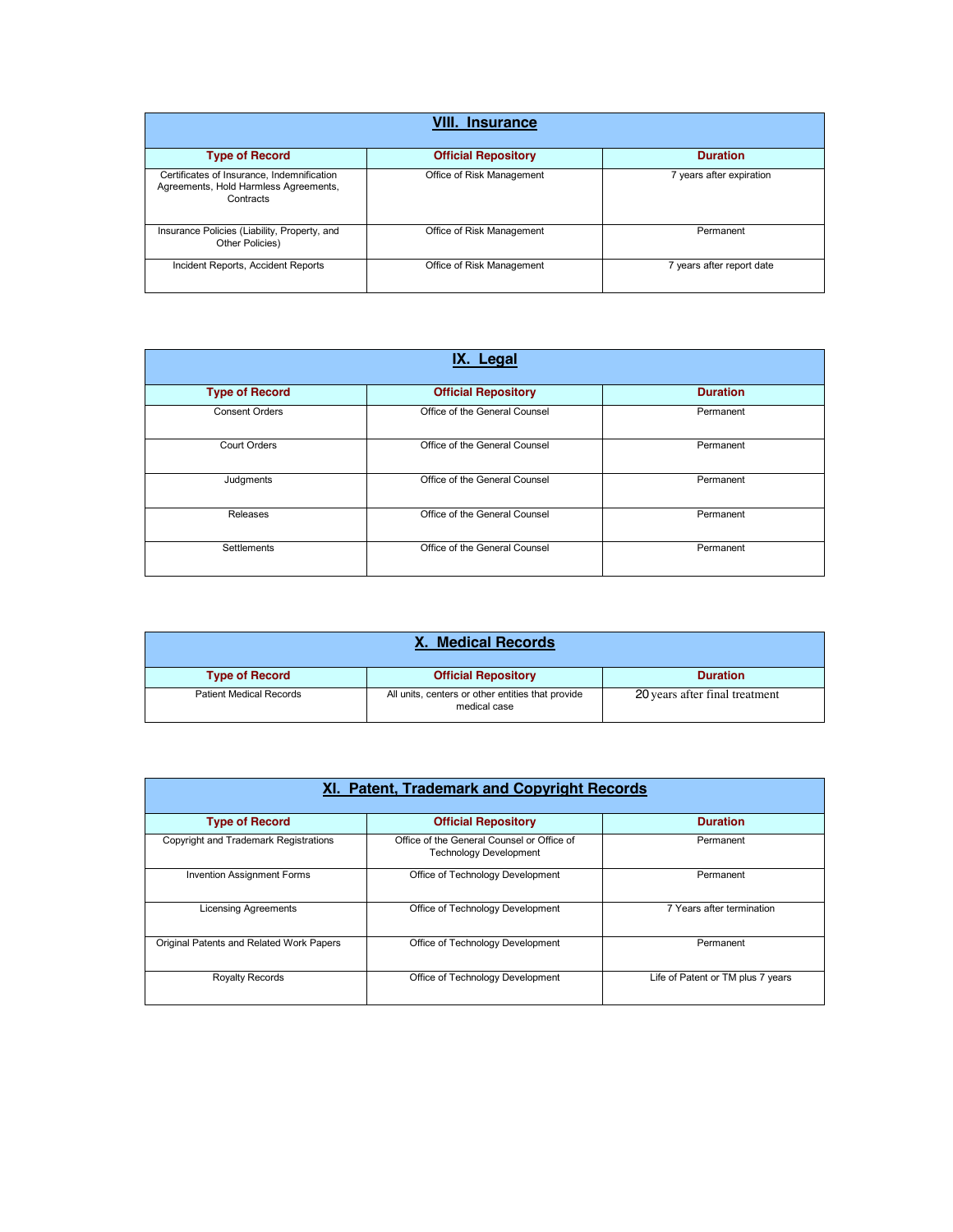| <b>Insurance</b>                                                                                 |                            |                           |
|--------------------------------------------------------------------------------------------------|----------------------------|---------------------------|
| <b>Type of Record</b>                                                                            | <b>Official Repository</b> | <b>Duration</b>           |
| Certificates of Insurance, Indemnification<br>Agreements, Hold Harmless Agreements,<br>Contracts | Office of Risk Management  | 7 years after expiration  |
| Insurance Policies (Liability, Property, and<br>Other Policies)                                  | Office of Risk Management  | Permanent                 |
| Incident Reports, Accident Reports                                                               | Office of Risk Management  | 7 years after report date |

| IX. Legal             |                               |                 |
|-----------------------|-------------------------------|-----------------|
| <b>Type of Record</b> | <b>Official Repository</b>    | <b>Duration</b> |
| <b>Consent Orders</b> | Office of the General Counsel | Permanent       |
| <b>Court Orders</b>   | Office of the General Counsel | Permanent       |
| Judgments             | Office of the General Counsel | Permanent       |
| Releases              | Office of the General Counsel | Permanent       |
| Settlements           | Office of the General Counsel | Permanent       |

| X. Medical Records             |                                                                   |                                |
|--------------------------------|-------------------------------------------------------------------|--------------------------------|
| <b>Type of Record</b>          | <b>Official Repository</b>                                        | <b>Duration</b>                |
| <b>Patient Medical Records</b> | All units, centers or other entities that provide<br>medical case | 20 years after final treatment |

| XI. Patent, Trademark and Copyright Records |                                                                             |                                   |
|---------------------------------------------|-----------------------------------------------------------------------------|-----------------------------------|
| <b>Type of Record</b>                       | <b>Official Repository</b>                                                  | <b>Duration</b>                   |
| Copyright and Trademark Registrations       | Office of the General Counsel or Office of<br><b>Technology Development</b> | Permanent                         |
| <b>Invention Assignment Forms</b>           | Office of Technology Development                                            | Permanent                         |
| <b>Licensing Agreements</b>                 | Office of Technology Development                                            | 7 Years after termination         |
| Original Patents and Related Work Papers    | Office of Technology Development                                            | Permanent                         |
| <b>Royalty Records</b>                      | Office of Technology Development                                            | Life of Patent or TM plus 7 years |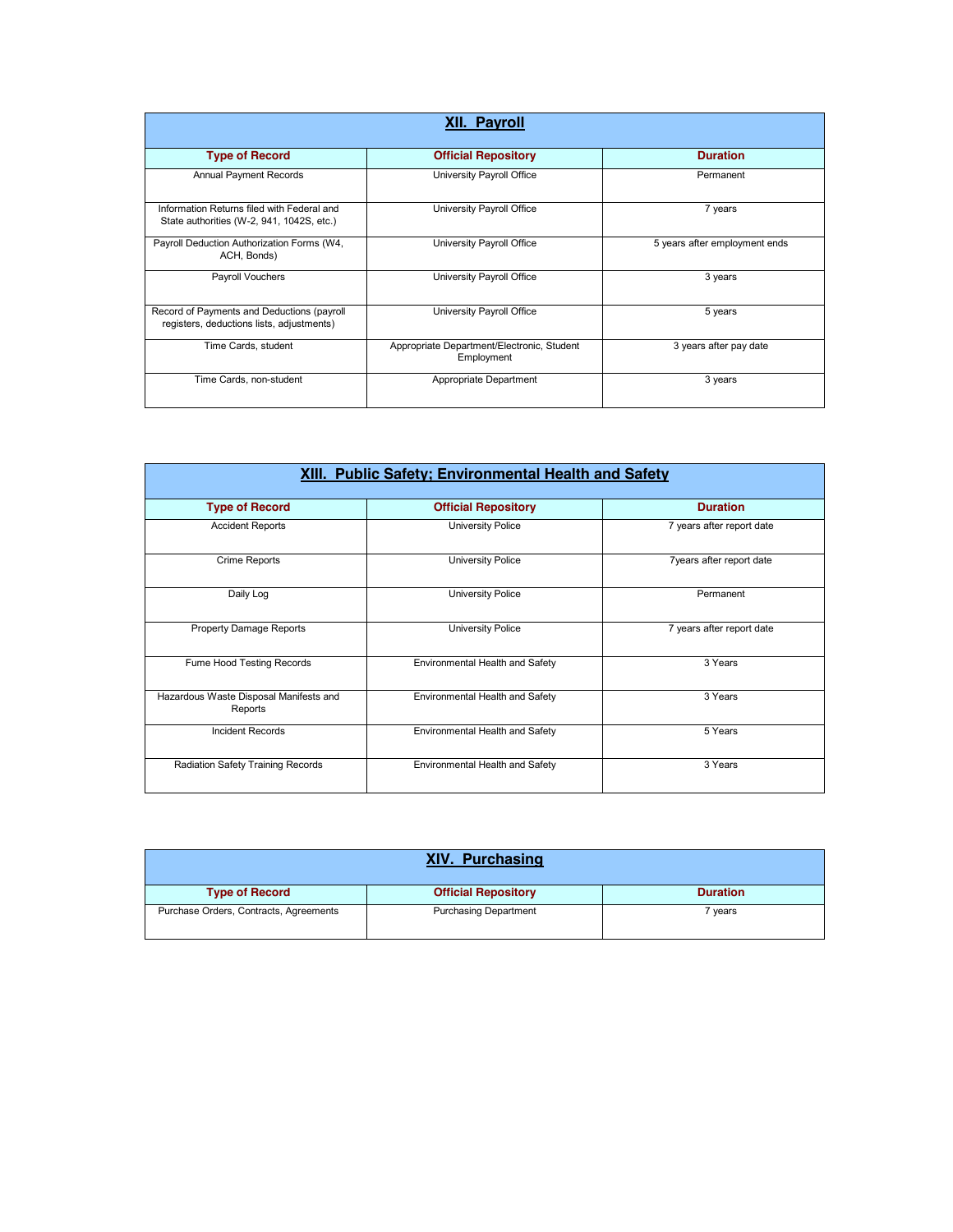| <b>XII. Payroll</b>                                                                     |                                                          |                               |
|-----------------------------------------------------------------------------------------|----------------------------------------------------------|-------------------------------|
| <b>Type of Record</b>                                                                   | <b>Official Repository</b>                               | <b>Duration</b>               |
| <b>Annual Payment Records</b>                                                           | University Payroll Office                                | Permanent                     |
| Information Returns filed with Federal and<br>State authorities (W-2, 941, 1042S, etc.) | University Payroll Office                                | 7 years                       |
| Payroll Deduction Authorization Forms (W4,<br>ACH, Bonds)                               | University Payroll Office                                | 5 years after employment ends |
| Payroll Vouchers                                                                        | University Payroll Office                                | 3 years                       |
| Record of Payments and Deductions (payroll<br>registers, deductions lists, adjustments) | University Payroll Office                                | 5 years                       |
| Time Cards, student                                                                     | Appropriate Department/Electronic, Student<br>Employment | 3 years after pay date        |
| Time Cards, non-student                                                                 | Appropriate Department                                   | 3 years                       |

| XIII. Public Safety; Environmental Health and Safety |                                 |                           |
|------------------------------------------------------|---------------------------------|---------------------------|
| <b>Type of Record</b>                                | <b>Official Repository</b>      | <b>Duration</b>           |
| <b>Accident Reports</b>                              | <b>University Police</b>        | 7 years after report date |
| Crime Reports                                        | University Police               | 7 years after report date |
| Daily Log                                            | <b>University Police</b>        | Permanent                 |
| <b>Property Damage Reports</b>                       | University Police               | 7 years after report date |
| Fume Hood Testing Records                            | Environmental Health and Safety | 3 Years                   |
| Hazardous Waste Disposal Manifests and<br>Reports    | Environmental Health and Safety | 3 Years                   |
| <b>Incident Records</b>                              | Environmental Health and Safety | 5 Years                   |
| Radiation Safety Training Records                    | Environmental Health and Safety | 3 Years                   |

| <b>XIV. Purchasing</b>                 |                              |                 |
|----------------------------------------|------------------------------|-----------------|
| <b>Type of Record</b>                  | <b>Official Repository</b>   | <b>Duration</b> |
| Purchase Orders, Contracts, Agreements | <b>Purchasing Department</b> | 7 vears         |